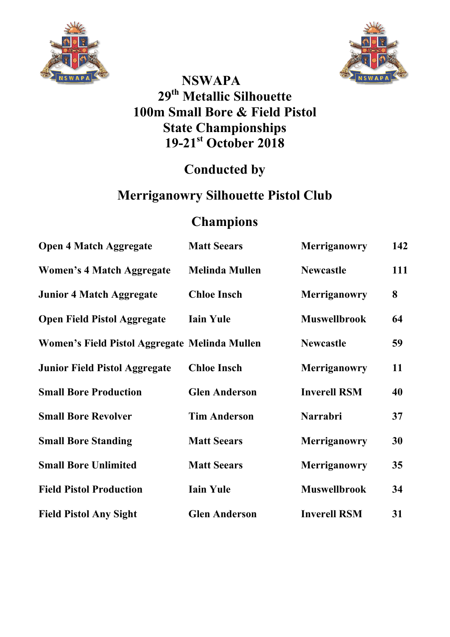



### **NSWAPA 29th Metallic Silhouette 100m Small Bore & Field Pistol State Championships 19-21st October 2018**

## **Conducted by**

# **Merriganowry Silhouette Pistol Club**

## **Champions**

| <b>Open 4 Match Aggregate</b>                 | <b>Matt Seears</b>    | <b>Merriganowry</b> | 142 |
|-----------------------------------------------|-----------------------|---------------------|-----|
| <b>Women's 4 Match Aggregate</b>              | <b>Melinda Mullen</b> | <b>Newcastle</b>    | 111 |
| <b>Junior 4 Match Aggregate</b>               | <b>Chloe Insch</b>    | <b>Merriganowry</b> | 8   |
| <b>Open Field Pistol Aggregate</b>            | <b>Iain Yule</b>      | <b>Muswellbrook</b> | 64  |
| Women's Field Pistol Aggregate Melinda Mullen |                       | <b>Newcastle</b>    | 59  |
| <b>Junior Field Pistol Aggregate</b>          | <b>Chloe Insch</b>    | Merriganowry        | 11  |
| <b>Small Bore Production</b>                  | <b>Glen Anderson</b>  | <b>Inverell RSM</b> | 40  |
| <b>Small Bore Revolver</b>                    | <b>Tim Anderson</b>   | <b>Narrabri</b>     | 37  |
| <b>Small Bore Standing</b>                    | <b>Matt Seears</b>    | Merriganowry        | 30  |
| <b>Small Bore Unlimited</b>                   | <b>Matt Seears</b>    | <b>Merriganowry</b> | 35  |
| <b>Field Pistol Production</b>                | <b>Iain Yule</b>      | <b>Muswellbrook</b> | 34  |
| <b>Field Pistol Any Sight</b>                 | <b>Glen Anderson</b>  | <b>Inverell RSM</b> | 31  |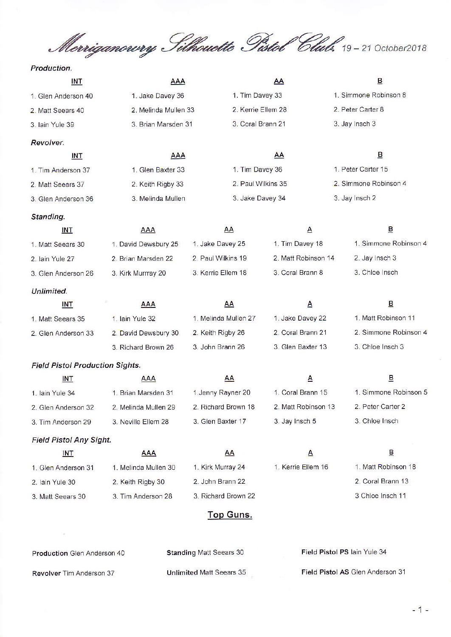Merriganowy Silhouette Pistol Club. 19-21 October2018

#### Production.

| <b>INT</b>                             | AAA                  |                      | AA                  | $\overline{\mathsf{B}}$ |  |  |  |  |  |  |
|----------------------------------------|----------------------|----------------------|---------------------|-------------------------|--|--|--|--|--|--|
| 1. Glen Anderson 40                    | 1. Jake Davey 36     | 1. Tim Davey 33      |                     | 1. Simmone Robinson 8   |  |  |  |  |  |  |
| 2. Matt Seears 40                      | 2. Melinda Mullen 33 | 2. Kerrie Ellem 28   |                     | 2. Peter Carter 8       |  |  |  |  |  |  |
| 3. Iain Yule 39                        | 3. Brian Marsden 31  | 3. Coral Brann 21    |                     | 3. Jay Insch 3          |  |  |  |  |  |  |
| Revolver.                              |                      |                      |                     |                         |  |  |  |  |  |  |
| <b>INT</b>                             | <b>AAA</b>           |                      | AA                  | $\overline{B}$          |  |  |  |  |  |  |
| 1. Tim Anderson 37                     | 1. Glen Baxter 33    | 1. Tim Davey 36      |                     | 1. Peter Carter 15      |  |  |  |  |  |  |
| 2. Matt Seears 37                      | 2. Keith Rigby 33    | 2. Paul Wilkins 35   |                     | 2. Simmone Robinson 4   |  |  |  |  |  |  |
| 3. Glen Anderson 36                    | 3. Melinda Mullen    | 3. Jake Davey 34     |                     | 3. Jay Insch 2          |  |  |  |  |  |  |
| Standing.                              |                      |                      |                     |                         |  |  |  |  |  |  |
| <b>INT</b>                             | <b>AAA</b>           | <b>AA</b>            | $\triangle$         | $\overline{B}$          |  |  |  |  |  |  |
| 1. Matt Seears 30                      | 1. David Dewsbury 25 | 1. Jake Davey 25     | 1. Tim Davey 18     | 1. Simmone Robinson 4   |  |  |  |  |  |  |
| 2. Iain Yule 27                        | 2. Brian Marsden 22  | 2. Paul Wilkins 19   | 2. Matt Robinson 14 | 2. Jay Insch 3          |  |  |  |  |  |  |
| 3. Glen Anderson 26                    | 3. Kirk Murrray 20   | 3. Kerrie Ellem 18   | 3. Coral Brann 8    | 3. Chloe Insch          |  |  |  |  |  |  |
| Unlimited.                             |                      |                      |                     |                         |  |  |  |  |  |  |
| <b>INT</b>                             | <b>AAA</b>           | AA                   | $\triangle$         | $\overline{\mathbf{B}}$ |  |  |  |  |  |  |
| 1. Matt Seears 35                      | 1. Iain Yule 32      | 1. Melinda Mullen 27 | 1. Jake Davey 22    | 1. Matt Robinson 11     |  |  |  |  |  |  |
| 2. Glen Anderson 33                    | 2. David Dewsbury 30 | 2. Keith Rigby 26    | 2. Coral Brann 21   | 2. Simmone Robinson 4   |  |  |  |  |  |  |
|                                        | 3. Richard Brown 26  | 3. John Brann 26     | 3. Glen Baxter 13   | 3. Chloe Insch 3        |  |  |  |  |  |  |
| <b>Field Pistol Production Sights.</b> |                      |                      |                     |                         |  |  |  |  |  |  |
| INT                                    | AAA                  | AA                   | $\triangle$         | 旦                       |  |  |  |  |  |  |
| 1. Iain Yule 34                        | 1. Brian Marsden 31  | 1. Jenny Rayner 20   | 1. Coral Brann 15   | 1. Simmone Robinson 5   |  |  |  |  |  |  |
| 2. Glen Anderson 32                    | 2. Melinda Mullen 29 | 2. Richard Brown 18  | 2. Matt Robinson 13 | 2. Peter Carter 2       |  |  |  |  |  |  |
| 3. Tim Anderson 29                     | 3. Neville Ellem 28  | 3. Glen Baxter 17    | 3. Jay Insch 5      | 3. Chloe Insch          |  |  |  |  |  |  |
| <b>Field Pistol Any Sight.</b>         |                      |                      |                     |                         |  |  |  |  |  |  |
| INT                                    | <b>AAA</b>           | AA                   | $\triangle$         | $\overline{\mathsf{B}}$ |  |  |  |  |  |  |
| 1. Glen Anderson 31                    | 1. Melinda Mullen 30 | 1. Kirk Murray 24    | 1. Kerrie Ellem 16  | 1. Matt Robinson 18     |  |  |  |  |  |  |
| 2. Iain Yule 30                        | 2. Keith Rigby 30    | 2. John Brann 22     |                     | 2. Coral Brann 13       |  |  |  |  |  |  |
| 3. Matt Seears 30                      | 3. Tim Anderson 28   | 3. Richard Brown 22  |                     | 3 Chloe Insch 11        |  |  |  |  |  |  |
|                                        |                      | <b>Top Guns.</b>     |                     |                         |  |  |  |  |  |  |

| <b>Production Glen Anderson 40</b> | <b>Standing Matt Seears 30</b>  | Field Pistol PS lain Yule 34     |
|------------------------------------|---------------------------------|----------------------------------|
| <b>Revolver</b> Tim Anderson 37    | <b>Unlimited Matt Seears 35</b> | Field Pistol AS Glen Anderson 31 |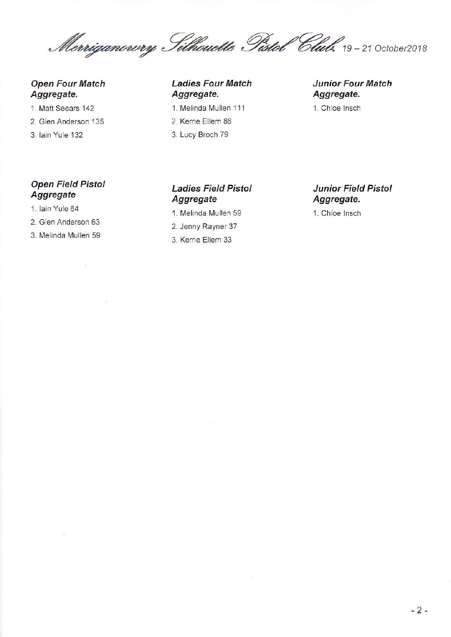Merriganowy Filhouette Pistol Club. 19-21 October2018

#### **Open Four Match** Aggregate.

- 1. Matt Seears 142
- 2. Glen Anderson 135
- 3. Iain Yule 132

#### **Open Field Pistol** Aggregate

- 1. Iain Yule 64
- 2. Glen Anderson 63
- 3. Melinda Mullen 59

 $\sim 100$ 

#### **Ladies Four Match** Aggregate.

- 1. Melinda Mullen 111
- 2. Kerrie Ellem 86
- 3. Lucy Broch 79

#### **Junior Four Match** Aggregate.

1. Chloe Insch

#### **Ladies Field Pistol** Aggregate

- 1. Melinda Mullen 59
- 2. Jenny Rayner 37
- 3. Kerrie Ellem 33

#### **Junior Field Pistol** Aggregate.

1. Chloe Insch